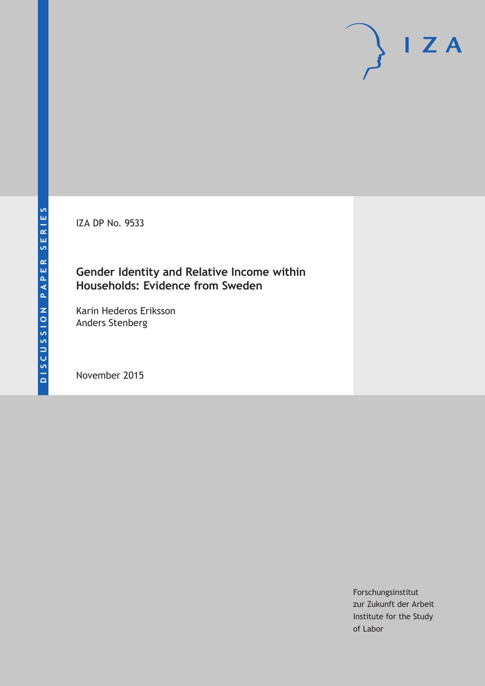IZA DP No. 9533

## **Gender Identity and Relative Income within Households: Evidence from Sweden**

Karin Hederos Eriksson Anders Stenberg

November 2015

Forschungsinstitut zur Zukunft der Arbeit Institute for the Study of Labor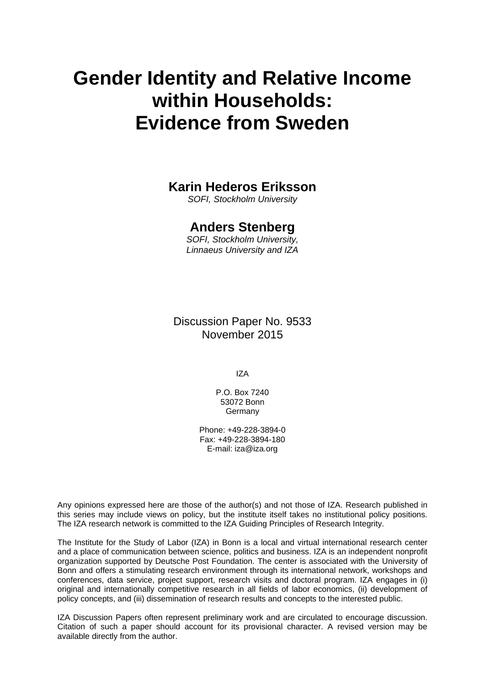# **Gender Identity and Relative Income within Households: Evidence from Sweden**

# **Karin Hederos Eriksson**

*SOFI, Stockholm University* 

## **Anders Stenberg**

*SOFI, Stockholm University, Linnaeus University and IZA* 

Discussion Paper No. 9533 November 2015

IZA

P.O. Box 7240 53072 Bonn Germany

Phone: +49-228-3894-0 Fax: +49-228-3894-180 E-mail: iza@iza.org

Any opinions expressed here are those of the author(s) and not those of IZA. Research published in this series may include views on policy, but the institute itself takes no institutional policy positions. The IZA research network is committed to the IZA Guiding Principles of Research Integrity.

The Institute for the Study of Labor (IZA) in Bonn is a local and virtual international research center and a place of communication between science, politics and business. IZA is an independent nonprofit organization supported by Deutsche Post Foundation. The center is associated with the University of Bonn and offers a stimulating research environment through its international network, workshops and conferences, data service, project support, research visits and doctoral program. IZA engages in (i) original and internationally competitive research in all fields of labor economics, (ii) development of policy concepts, and (iii) dissemination of research results and concepts to the interested public.

IZA Discussion Papers often represent preliminary work and are circulated to encourage discussion. Citation of such a paper should account for its provisional character. A revised version may be available directly from the author.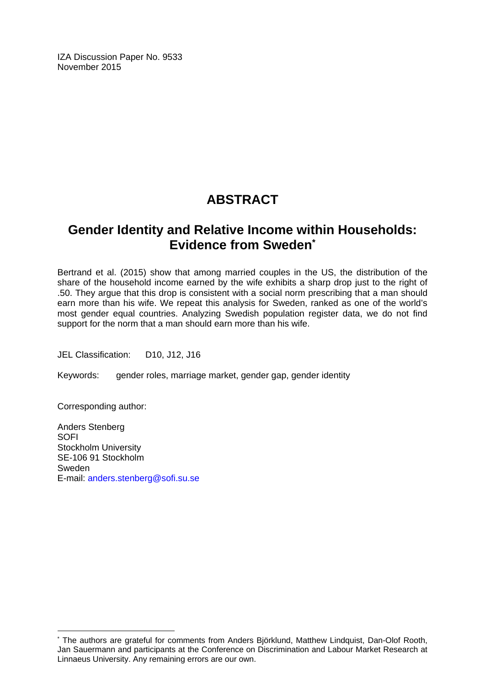IZA Discussion Paper No. 9533 November 2015

# **ABSTRACT**

# **Gender Identity and Relative Income within Households: Evidence from Sweden\***

Bertrand et al. (2015) show that among married couples in the US, the distribution of the share of the household income earned by the wife exhibits a sharp drop just to the right of .50. They argue that this drop is consistent with a social norm prescribing that a man should earn more than his wife. We repeat this analysis for Sweden, ranked as one of the world's most gender equal countries. Analyzing Swedish population register data, we do not find support for the norm that a man should earn more than his wife.

JEL Classification: D10, J12, J16

Keywords: gender roles, marriage market, gender gap, gender identity

Corresponding author:

 $\overline{a}$ 

Anders Stenberg SOFI Stockholm University SE-106 91 Stockholm Sweden E-mail: anders.stenberg@sofi.su.se

<sup>\*</sup> The authors are grateful for comments from Anders Björklund, Matthew Lindquist, Dan-Olof Rooth, Jan Sauermann and participants at the Conference on Discrimination and Labour Market Research at Linnaeus University. Any remaining errors are our own.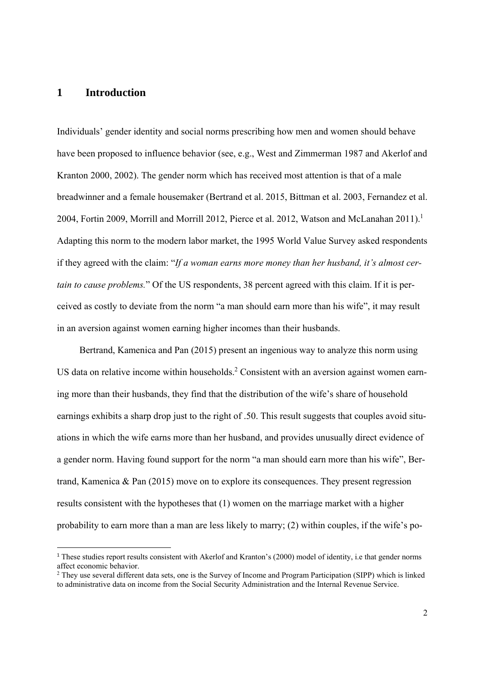#### **1 Introduction**

Individuals' gender identity and social norms prescribing how men and women should behave have been proposed to influence behavior (see, e.g., West and Zimmerman 1987 and Akerlof and Kranton 2000, 2002). The gender norm which has received most attention is that of a male breadwinner and a female housemaker (Bertrand et al. 2015, Bittman et al. 2003, Fernandez et al. 2004, Fortin 2009, Morrill and Morrill 2012, Pierce et al. 2012, Watson and McLanahan 2011).<sup>1</sup> Adapting this norm to the modern labor market, the 1995 World Value Survey asked respondents if they agreed with the claim: "*If a woman earns more money than her husband, it's almost certain to cause problems.*" Of the US respondents, 38 percent agreed with this claim. If it is perceived as costly to deviate from the norm "a man should earn more than his wife", it may result in an aversion against women earning higher incomes than their husbands.

Bertrand, Kamenica and Pan (2015) present an ingenious way to analyze this norm using US data on relative income within households.<sup>2</sup> Consistent with an aversion against women earning more than their husbands, they find that the distribution of the wife's share of household earnings exhibits a sharp drop just to the right of .50. This result suggests that couples avoid situations in which the wife earns more than her husband, and provides unusually direct evidence of a gender norm. Having found support for the norm "a man should earn more than his wife", Bertrand, Kamenica & Pan (2015) move on to explore its consequences. They present regression results consistent with the hypotheses that (1) women on the marriage market with a higher probability to earn more than a man are less likely to marry; (2) within couples, if the wife's po-

<sup>&</sup>lt;sup>1</sup> These studies report results consistent with Akerlof and Kranton's (2000) model of identity, i.e that gender norms affect economic behavior.

<sup>&</sup>lt;sup>2</sup> They use several different data sets, one is the Survey of Income and Program Participation (SIPP) which is linked to administrative data on income from the Social Security Administration and the Internal Revenue Service.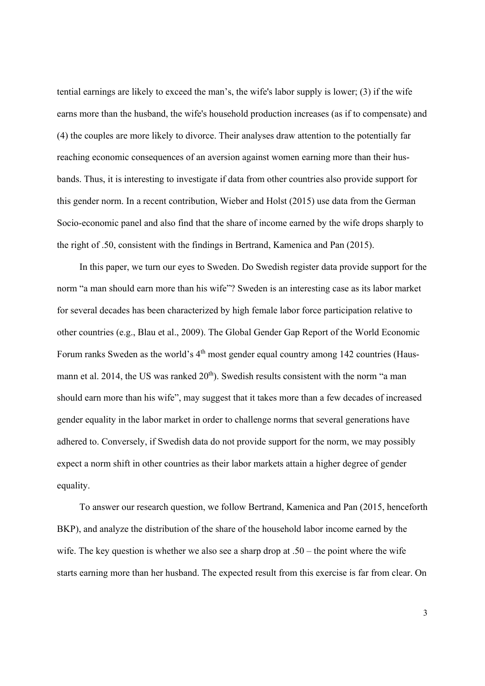tential earnings are likely to exceed the man's, the wife's labor supply is lower; (3) if the wife earns more than the husband, the wife's household production increases (as if to compensate) and (4) the couples are more likely to divorce. Their analyses draw attention to the potentially far reaching economic consequences of an aversion against women earning more than their husbands. Thus, it is interesting to investigate if data from other countries also provide support for this gender norm. In a recent contribution, Wieber and Holst (2015) use data from the German Socio-economic panel and also find that the share of income earned by the wife drops sharply to the right of .50, consistent with the findings in Bertrand, Kamenica and Pan (2015).

In this paper, we turn our eyes to Sweden. Do Swedish register data provide support for the norm "a man should earn more than his wife"? Sweden is an interesting case as its labor market for several decades has been characterized by high female labor force participation relative to other countries (e.g., Blau et al., 2009). The Global Gender Gap Report of the World Economic Forum ranks Sweden as the world's  $4<sup>th</sup>$  most gender equal country among 142 countries (Hausmann et al. 2014, the US was ranked  $20<sup>th</sup>$ ). Swedish results consistent with the norm "a man should earn more than his wife", may suggest that it takes more than a few decades of increased gender equality in the labor market in order to challenge norms that several generations have adhered to. Conversely, if Swedish data do not provide support for the norm, we may possibly expect a norm shift in other countries as their labor markets attain a higher degree of gender equality.

To answer our research question, we follow Bertrand, Kamenica and Pan (2015, henceforth BKP), and analyze the distribution of the share of the household labor income earned by the wife. The key question is whether we also see a sharp drop at  $.50 -$  the point where the wife starts earning more than her husband. The expected result from this exercise is far from clear. On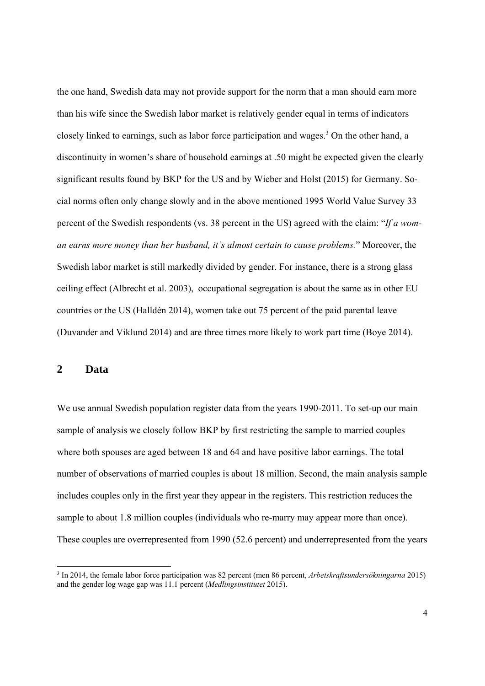the one hand, Swedish data may not provide support for the norm that a man should earn more than his wife since the Swedish labor market is relatively gender equal in terms of indicators closely linked to earnings, such as labor force participation and wages.<sup>3</sup> On the other hand, a discontinuity in women's share of household earnings at .50 might be expected given the clearly significant results found by BKP for the US and by Wieber and Holst (2015) for Germany. Social norms often only change slowly and in the above mentioned 1995 World Value Survey 33 percent of the Swedish respondents (vs. 38 percent in the US) agreed with the claim: "*If a woman earns more money than her husband, it's almost certain to cause problems.*" Moreover, the Swedish labor market is still markedly divided by gender. For instance, there is a strong glass ceiling effect (Albrecht et al. 2003), occupational segregation is about the same as in other EU countries or the US (Halldén 2014), women take out 75 percent of the paid parental leave (Duvander and Viklund 2014) and are three times more likely to work part time (Boye 2014).

## **2 Data**

We use annual Swedish population register data from the years 1990-2011. To set-up our main sample of analysis we closely follow BKP by first restricting the sample to married couples where both spouses are aged between 18 and 64 and have positive labor earnings. The total number of observations of married couples is about 18 million. Second, the main analysis sample includes couples only in the first year they appear in the registers. This restriction reduces the sample to about 1.8 million couples (individuals who re-marry may appear more than once). These couples are overrepresented from 1990 (52.6 percent) and underrepresented from the years

<sup>3</sup> In 2014, the female labor force participation was 82 percent (men 86 percent, *Arbetskraftsundersökningarna* 2015) and the gender log wage gap was 11.1 percent (*Medlingsinstitutet* 2015).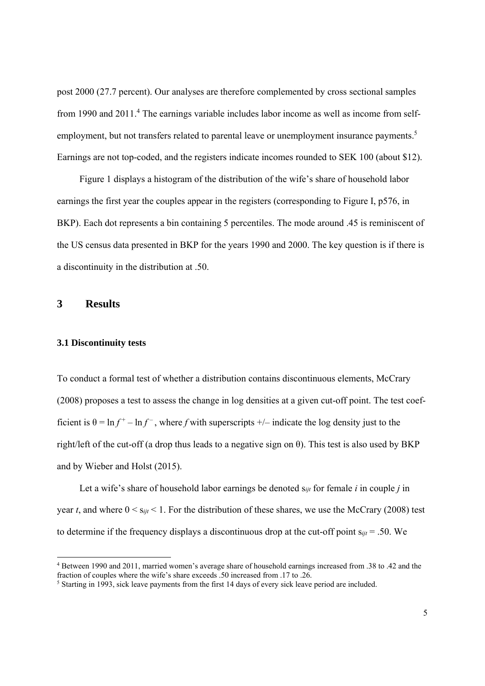post 2000 (27.7 percent). Our analyses are therefore complemented by cross sectional samples from 1990 and 2011.<sup>4</sup> The earnings variable includes labor income as well as income from selfemployment, but not transfers related to parental leave or unemployment insurance payments.<sup>5</sup> Earnings are not top-coded, and the registers indicate incomes rounded to SEK 100 (about \$12).

Figure 1 displays a histogram of the distribution of the wife's share of household labor earnings the first year the couples appear in the registers (corresponding to Figure I, p576, in BKP). Each dot represents a bin containing 5 percentiles. The mode around .45 is reminiscent of the US census data presented in BKP for the years 1990 and 2000. The key question is if there is a discontinuity in the distribution at .50.

#### **3 Results**

#### **3.1 Discontinuity tests**

To conduct a formal test of whether a distribution contains discontinuous elements, McCrary (2008) proposes a test to assess the change in log densities at a given cut-off point. The test coefficient is  $\theta = \ln f^+ - \ln f^-$ , where *f* with superscripts  $+/-$  indicate the log density just to the right/left of the cut-off (a drop thus leads to a negative sign on  $\theta$ ). This test is also used by BKP and by Wieber and Holst (2015).

Let a wife's share of household labor earnings be denoted s*ijt* for female *i* in couple *j* in year *t*, and where  $0 \le s_{ijt} \le 1$ . For the distribution of these shares, we use the McCrary (2008) test to determine if the frequency displays a discontinuous drop at the cut-off point s*ijt* = .50. We

<sup>4</sup> Between 1990 and 2011, married women's average share of household earnings increased from .38 to .42 and the fraction of couples where the wife's share exceeds .50 increased from .17 to .26.

<sup>&</sup>lt;sup>5</sup> Starting in 1993, sick leave payments from the first 14 days of every sick leave period are included.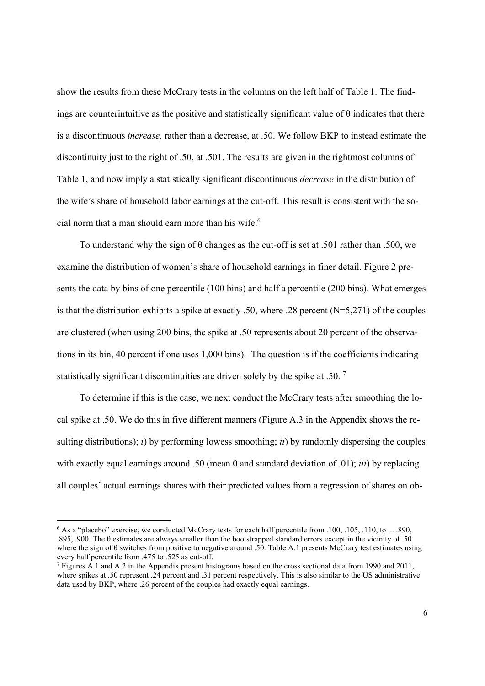show the results from these McCrary tests in the columns on the left half of Table 1. The findings are counterintuitive as the positive and statistically significant value of  $\theta$  indicates that there is a discontinuous *increase,* rather than a decrease, at .50. We follow BKP to instead estimate the discontinuity just to the right of .50, at .501. The results are given in the rightmost columns of Table 1, and now imply a statistically significant discontinuous *decrease* in the distribution of the wife's share of household labor earnings at the cut-off. This result is consistent with the social norm that a man should earn more than his wife.<sup>6</sup>

To understand why the sign of θ changes as the cut-off is set at .501 rather than .500, we examine the distribution of women's share of household earnings in finer detail. Figure 2 presents the data by bins of one percentile (100 bins) and half a percentile (200 bins). What emerges is that the distribution exhibits a spike at exactly .50, where .28 percent (N=5,271) of the couples are clustered (when using 200 bins, the spike at .50 represents about 20 percent of the observations in its bin, 40 percent if one uses 1,000 bins). The question is if the coefficients indicating statistically significant discontinuities are driven solely by the spike at .50. <sup>7</sup>

To determine if this is the case, we next conduct the McCrary tests after smoothing the local spike at .50. We do this in five different manners (Figure A.3 in the Appendix shows the resulting distributions); *i*) by performing lowess smoothing; *ii*) by randomly dispersing the couples with exactly equal earnings around .50 (mean 0 and standard deviation of .01); *iii*) by replacing all couples' actual earnings shares with their predicted values from a regression of shares on ob-

<sup>&</sup>lt;sup>6</sup> As a "placebo" exercise, we conducted McCrary tests for each half percentile from .100, .105, .110, to ... .890, .895, .900. The  $\theta$  estimates are always smaller than the bootstrapped standard errors except in the vicinity of .50 where the sign of  $\theta$  switches from positive to negative around .50. Table A.1 presents McCrary test estimates using every half percentile from .475 to .525 as cut-off.

<sup>&</sup>lt;sup>7</sup> Figures A.1 and A.2 in the Appendix present histograms based on the cross sectional data from 1990 and 2011, where spikes at .50 represent .24 percent and .31 percent respectively. This is also similar to the US administrative data used by BKP, where .26 percent of the couples had exactly equal earnings.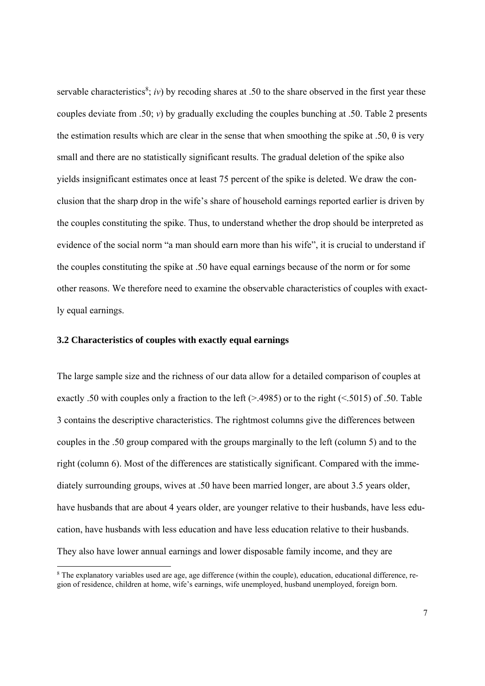servable characteristics<sup>8</sup>; *iv*) by recoding shares at .50 to the share observed in the first year these couples deviate from .50; *v*) by gradually excluding the couples bunching at .50. Table 2 presents the estimation results which are clear in the sense that when smoothing the spike at .50,  $\theta$  is very small and there are no statistically significant results. The gradual deletion of the spike also yields insignificant estimates once at least 75 percent of the spike is deleted. We draw the conclusion that the sharp drop in the wife's share of household earnings reported earlier is driven by the couples constituting the spike. Thus, to understand whether the drop should be interpreted as evidence of the social norm "a man should earn more than his wife", it is crucial to understand if the couples constituting the spike at .50 have equal earnings because of the norm or for some other reasons. We therefore need to examine the observable characteristics of couples with exactly equal earnings.

#### **3.2 Characteristics of couples with exactly equal earnings**

The large sample size and the richness of our data allow for a detailed comparison of couples at exactly .50 with couples only a fraction to the left  $(>4985)$  or to the right  $(<5015)$  of .50. Table 3 contains the descriptive characteristics. The rightmost columns give the differences between couples in the .50 group compared with the groups marginally to the left (column 5) and to the right (column 6). Most of the differences are statistically significant. Compared with the immediately surrounding groups, wives at .50 have been married longer, are about 3.5 years older, have husbands that are about 4 years older, are younger relative to their husbands, have less education, have husbands with less education and have less education relative to their husbands. They also have lower annual earnings and lower disposable family income, and they are

<sup>&</sup>lt;sup>8</sup> The explanatory variables used are age, age difference (within the couple), education, educational difference, region of residence, children at home, wife's earnings, wife unemployed, husband unemployed, foreign born.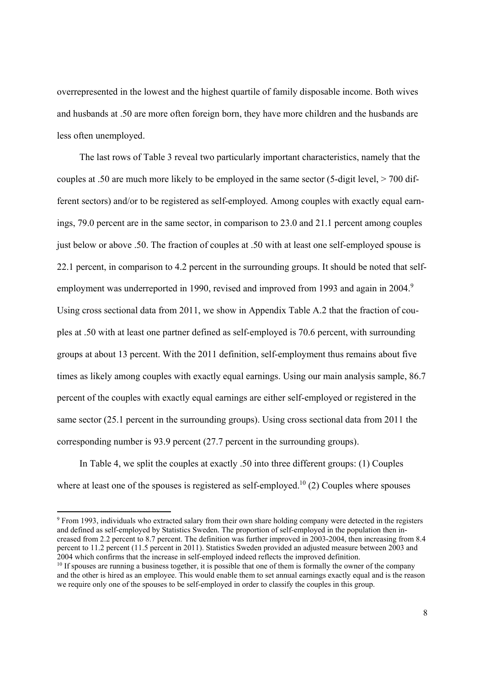overrepresented in the lowest and the highest quartile of family disposable income. Both wives and husbands at .50 are more often foreign born, they have more children and the husbands are less often unemployed.

The last rows of Table 3 reveal two particularly important characteristics, namely that the couples at .50 are much more likely to be employed in the same sector (5-digit level, > 700 different sectors) and/or to be registered as self-employed. Among couples with exactly equal earnings, 79.0 percent are in the same sector, in comparison to 23.0 and 21.1 percent among couples just below or above .50. The fraction of couples at .50 with at least one self-employed spouse is 22.1 percent, in comparison to 4.2 percent in the surrounding groups. It should be noted that selfemployment was underreported in 1990, revised and improved from 1993 and again in 2004.<sup>9</sup> Using cross sectional data from 2011, we show in Appendix Table A.2 that the fraction of couples at .50 with at least one partner defined as self-employed is 70.6 percent, with surrounding groups at about 13 percent. With the 2011 definition, self-employment thus remains about five times as likely among couples with exactly equal earnings. Using our main analysis sample, 86.7 percent of the couples with exactly equal earnings are either self-employed or registered in the same sector (25.1 percent in the surrounding groups). Using cross sectional data from 2011 the corresponding number is 93.9 percent (27.7 percent in the surrounding groups).

In Table 4, we split the couples at exactly .50 into three different groups: (1) Couples where at least one of the spouses is registered as self-employed.<sup>10</sup> (2) Couples where spouses

9 From 1993, individuals who extracted salary from their own share holding company were detected in the registers and defined as self-employed by Statistics Sweden. The proportion of self-employed in the population then increased from 2.2 percent to 8.7 percent. The definition was further improved in 2003-2004, then increasing from 8.4 percent to 11.2 percent (11.5 percent in 2011). Statistics Sweden provided an adjusted measure between 2003 and 2004 which confirms that the increase in self-employed indeed reflects the improved definition.

 $10$  If spouses are running a business together, it is possible that one of them is formally the owner of the company and the other is hired as an employee. This would enable them to set annual earnings exactly equal and is the reason we require only one of the spouses to be self-employed in order to classify the couples in this group.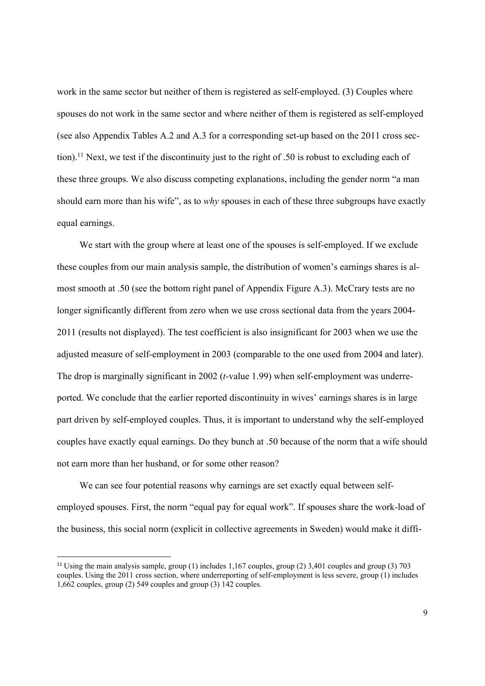work in the same sector but neither of them is registered as self-employed. (3) Couples where spouses do not work in the same sector and where neither of them is registered as self-employed (see also Appendix Tables A.2 and A.3 for a corresponding set-up based on the 2011 cross section).11 Next, we test if the discontinuity just to the right of .50 is robust to excluding each of these three groups. We also discuss competing explanations, including the gender norm "a man should earn more than his wife", as to *why* spouses in each of these three subgroups have exactly equal earnings.

We start with the group where at least one of the spouses is self-employed. If we exclude these couples from our main analysis sample, the distribution of women's earnings shares is almost smooth at .50 (see the bottom right panel of Appendix Figure A.3). McCrary tests are no longer significantly different from zero when we use cross sectional data from the years 2004- 2011 (results not displayed). The test coefficient is also insignificant for 2003 when we use the adjusted measure of self-employment in 2003 (comparable to the one used from 2004 and later). The drop is marginally significant in 2002 (*t*-value 1.99) when self-employment was underreported. We conclude that the earlier reported discontinuity in wives' earnings shares is in large part driven by self-employed couples. Thus, it is important to understand why the self-employed couples have exactly equal earnings. Do they bunch at .50 because of the norm that a wife should not earn more than her husband, or for some other reason?

We can see four potential reasons why earnings are set exactly equal between selfemployed spouses. First, the norm "equal pay for equal work". If spouses share the work-load of the business, this social norm (explicit in collective agreements in Sweden) would make it diffi-

<sup>11</sup> Using the main analysis sample, group (1) includes 1,167 couples, group (2) 3,401 couples and group (3) 703 couples. Using the 2011 cross section, where underreporting of self-employment is less severe, group (1) includes 1,662 couples, group (2) 549 couples and group (3) 142 couples.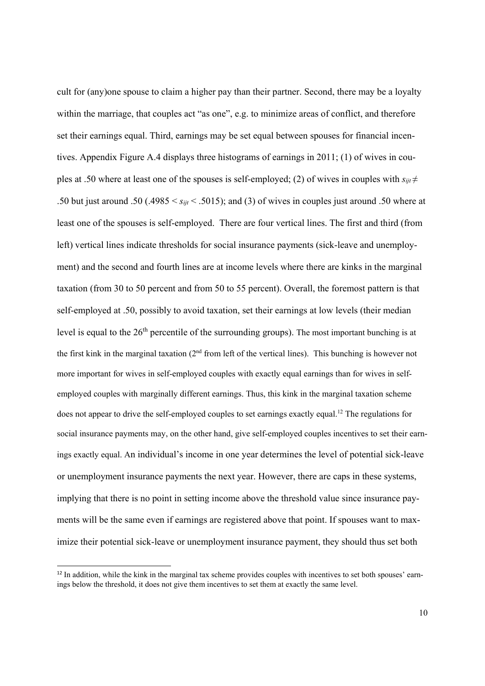cult for (any)one spouse to claim a higher pay than their partner. Second, there may be a loyalty within the marriage, that couples act "as one", e.g. to minimize areas of conflict, and therefore set their earnings equal. Third, earnings may be set equal between spouses for financial incentives. Appendix Figure A.4 displays three histograms of earnings in 2011; (1) of wives in couples at .50 where at least one of the spouses is self-employed; (2) of wives in couples with  $s_{ijt} \neq$ .50 but just around .50 (.4985 < *sijt* < .5015); and (3) of wives in couples just around .50 where at least one of the spouses is self-employed. There are four vertical lines. The first and third (from left) vertical lines indicate thresholds for social insurance payments (sick-leave and unemployment) and the second and fourth lines are at income levels where there are kinks in the marginal taxation (from 30 to 50 percent and from 50 to 55 percent). Overall, the foremost pattern is that self-employed at .50, possibly to avoid taxation, set their earnings at low levels (their median level is equal to the 26<sup>th</sup> percentile of the surrounding groups). The most important bunching is at the first kink in the marginal taxation (2nd from left of the vertical lines). This bunching is however not more important for wives in self-employed couples with exactly equal earnings than for wives in selfemployed couples with marginally different earnings. Thus, this kink in the marginal taxation scheme does not appear to drive the self-employed couples to set earnings exactly equal.12 The regulations for social insurance payments may, on the other hand, give self-employed couples incentives to set their earnings exactly equal. An individual's income in one year determines the level of potential sick-leave or unemployment insurance payments the next year. However, there are caps in these systems, implying that there is no point in setting income above the threshold value since insurance payments will be the same even if earnings are registered above that point. If spouses want to maximize their potential sick-leave or unemployment insurance payment, they should thus set both

<sup>&</sup>lt;sup>12</sup> In addition, while the kink in the marginal tax scheme provides couples with incentives to set both spouses' earnings below the threshold, it does not give them incentives to set them at exactly the same level.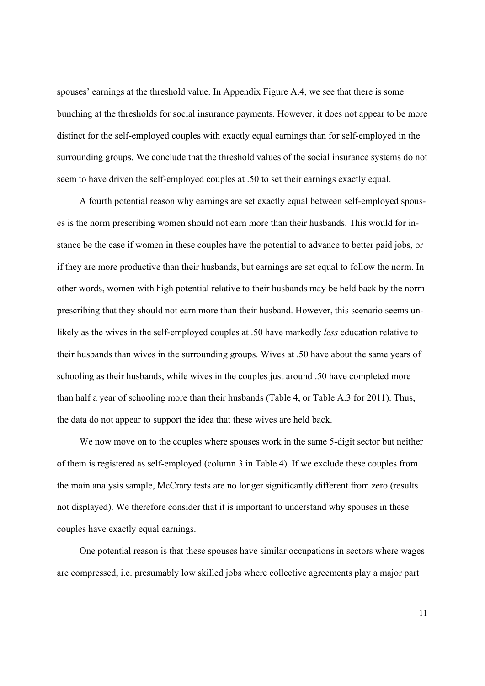spouses' earnings at the threshold value. In Appendix Figure A.4, we see that there is some bunching at the thresholds for social insurance payments. However, it does not appear to be more distinct for the self-employed couples with exactly equal earnings than for self-employed in the surrounding groups. We conclude that the threshold values of the social insurance systems do not seem to have driven the self-employed couples at .50 to set their earnings exactly equal.

A fourth potential reason why earnings are set exactly equal between self-employed spouses is the norm prescribing women should not earn more than their husbands. This would for instance be the case if women in these couples have the potential to advance to better paid jobs, or if they are more productive than their husbands, but earnings are set equal to follow the norm. In other words, women with high potential relative to their husbands may be held back by the norm prescribing that they should not earn more than their husband. However, this scenario seems unlikely as the wives in the self-employed couples at .50 have markedly *less* education relative to their husbands than wives in the surrounding groups. Wives at .50 have about the same years of schooling as their husbands, while wives in the couples just around .50 have completed more than half a year of schooling more than their husbands (Table 4, or Table A.3 for 2011). Thus, the data do not appear to support the idea that these wives are held back.

We now move on to the couples where spouses work in the same 5-digit sector but neither of them is registered as self-employed (column 3 in Table 4). If we exclude these couples from the main analysis sample, McCrary tests are no longer significantly different from zero (results not displayed). We therefore consider that it is important to understand why spouses in these couples have exactly equal earnings.

One potential reason is that these spouses have similar occupations in sectors where wages are compressed, i.e. presumably low skilled jobs where collective agreements play a major part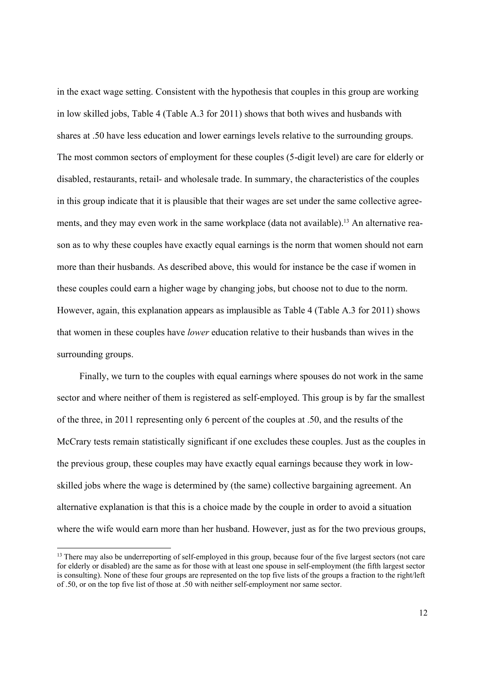in the exact wage setting. Consistent with the hypothesis that couples in this group are working in low skilled jobs, Table 4 (Table A.3 for 2011) shows that both wives and husbands with shares at .50 have less education and lower earnings levels relative to the surrounding groups. The most common sectors of employment for these couples (5-digit level) are care for elderly or disabled, restaurants, retail- and wholesale trade. In summary, the characteristics of the couples in this group indicate that it is plausible that their wages are set under the same collective agreements, and they may even work in the same workplace (data not available).<sup>13</sup> An alternative reason as to why these couples have exactly equal earnings is the norm that women should not earn more than their husbands. As described above, this would for instance be the case if women in these couples could earn a higher wage by changing jobs, but choose not to due to the norm. However, again, this explanation appears as implausible as Table 4 (Table A.3 for 2011) shows that women in these couples have *lower* education relative to their husbands than wives in the surrounding groups.

Finally, we turn to the couples with equal earnings where spouses do not work in the same sector and where neither of them is registered as self-employed. This group is by far the smallest of the three, in 2011 representing only 6 percent of the couples at .50, and the results of the McCrary tests remain statistically significant if one excludes these couples. Just as the couples in the previous group, these couples may have exactly equal earnings because they work in lowskilled jobs where the wage is determined by (the same) collective bargaining agreement. An alternative explanation is that this is a choice made by the couple in order to avoid a situation where the wife would earn more than her husband. However, just as for the two previous groups,

<sup>&</sup>lt;sup>13</sup> There may also be underreporting of self-employed in this group, because four of the five largest sectors (not care for elderly or disabled) are the same as for those with at least one spouse in self-employment (the fifth largest sector is consulting). None of these four groups are represented on the top five lists of the groups a fraction to the right/left of .50, or on the top five list of those at .50 with neither self-employment nor same sector.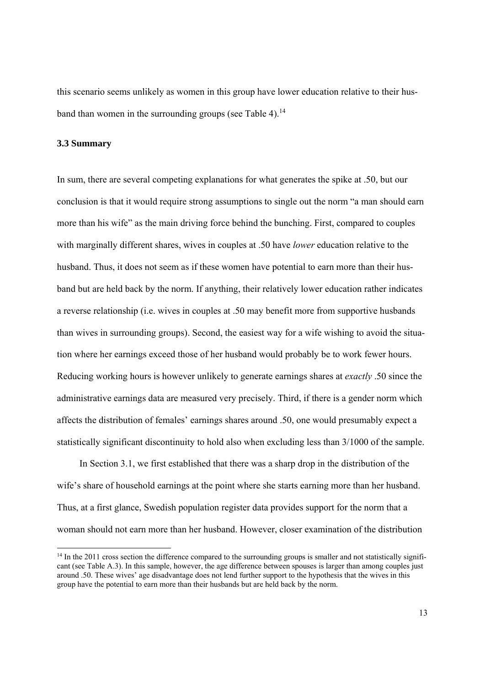this scenario seems unlikely as women in this group have lower education relative to their husband than women in the surrounding groups (see Table 4).<sup>14</sup>

#### **3.3 Summary**

In sum, there are several competing explanations for what generates the spike at .50, but our conclusion is that it would require strong assumptions to single out the norm "a man should earn more than his wife" as the main driving force behind the bunching. First, compared to couples with marginally different shares, wives in couples at .50 have *lower* education relative to the husband. Thus, it does not seem as if these women have potential to earn more than their husband but are held back by the norm. If anything, their relatively lower education rather indicates a reverse relationship (i.e. wives in couples at .50 may benefit more from supportive husbands than wives in surrounding groups). Second, the easiest way for a wife wishing to avoid the situation where her earnings exceed those of her husband would probably be to work fewer hours. Reducing working hours is however unlikely to generate earnings shares at *exactly* .50 since the administrative earnings data are measured very precisely. Third, if there is a gender norm which affects the distribution of females' earnings shares around .50, one would presumably expect a statistically significant discontinuity to hold also when excluding less than 3/1000 of the sample.

In Section 3.1, we first established that there was a sharp drop in the distribution of the wife's share of household earnings at the point where she starts earning more than her husband. Thus, at a first glance, Swedish population register data provides support for the norm that a woman should not earn more than her husband. However, closer examination of the distribution

 $14$  In the 2011 cross section the difference compared to the surrounding groups is smaller and not statistically significant (see Table A.3). In this sample, however, the age difference between spouses is larger than among couples just around .50. These wives' age disadvantage does not lend further support to the hypothesis that the wives in this group have the potential to earn more than their husbands but are held back by the norm.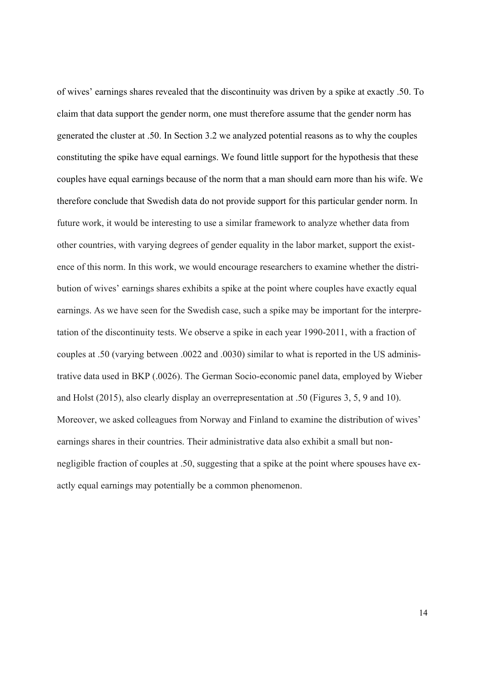of wives' earnings shares revealed that the discontinuity was driven by a spike at exactly .50. To claim that data support the gender norm, one must therefore assume that the gender norm has generated the cluster at .50. In Section 3.2 we analyzed potential reasons as to why the couples constituting the spike have equal earnings. We found little support for the hypothesis that these couples have equal earnings because of the norm that a man should earn more than his wife. We therefore conclude that Swedish data do not provide support for this particular gender norm. In future work, it would be interesting to use a similar framework to analyze whether data from other countries, with varying degrees of gender equality in the labor market, support the existence of this norm. In this work, we would encourage researchers to examine whether the distribution of wives' earnings shares exhibits a spike at the point where couples have exactly equal earnings. As we have seen for the Swedish case, such a spike may be important for the interpretation of the discontinuity tests. We observe a spike in each year 1990-2011, with a fraction of couples at .50 (varying between .0022 and .0030) similar to what is reported in the US administrative data used in BKP (.0026). The German Socio-economic panel data, employed by Wieber and Holst (2015), also clearly display an overrepresentation at .50 (Figures 3, 5, 9 and 10). Moreover, we asked colleagues from Norway and Finland to examine the distribution of wives' earnings shares in their countries. Their administrative data also exhibit a small but nonnegligible fraction of couples at .50, suggesting that a spike at the point where spouses have exactly equal earnings may potentially be a common phenomenon.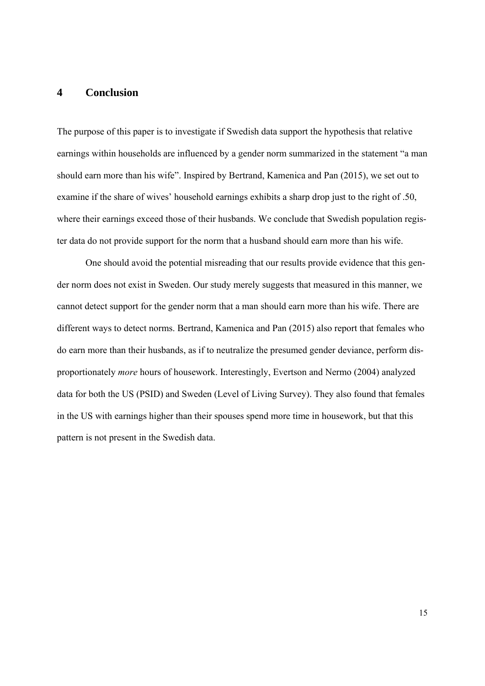### **4 Conclusion**

The purpose of this paper is to investigate if Swedish data support the hypothesis that relative earnings within households are influenced by a gender norm summarized in the statement "a man should earn more than his wife". Inspired by Bertrand, Kamenica and Pan (2015), we set out to examine if the share of wives' household earnings exhibits a sharp drop just to the right of .50, where their earnings exceed those of their husbands. We conclude that Swedish population register data do not provide support for the norm that a husband should earn more than his wife.

 One should avoid the potential misreading that our results provide evidence that this gender norm does not exist in Sweden. Our study merely suggests that measured in this manner, we cannot detect support for the gender norm that a man should earn more than his wife. There are different ways to detect norms. Bertrand, Kamenica and Pan (2015) also report that females who do earn more than their husbands, as if to neutralize the presumed gender deviance, perform disproportionately *more* hours of housework. Interestingly, Evertson and Nermo (2004) analyzed data for both the US (PSID) and Sweden (Level of Living Survey). They also found that females in the US with earnings higher than their spouses spend more time in housework, but that this pattern is not present in the Swedish data.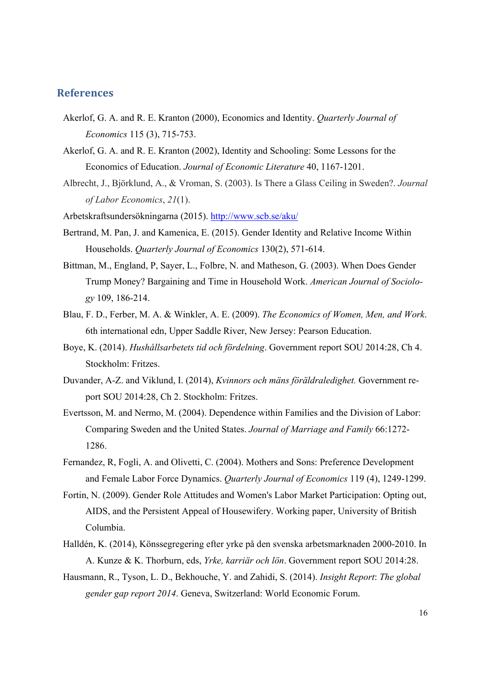### **References**

- Akerlof, G. A. and R. E. Kranton (2000), Economics and Identity. *Quarterly Journal of Economics* 115 (3), 715-753.
- Akerlof, G. A. and R. E. Kranton (2002), Identity and Schooling: Some Lessons for the Economics of Education. *Journal of Economic Literature* 40, 1167-1201.
- Albrecht, J., Björklund, A., & Vroman, S. (2003). Is There a Glass Ceiling in Sweden?. *Journal of Labor Economics*, *21*(1).
- Arbetskraftsundersökningarna (2015). http://www.scb.se/aku/
- Bertrand, M. Pan, J. and Kamenica, E. (2015). Gender Identity and Relative Income Within Households. *Quarterly Journal of Economics* 130(2), 571-614.
- Bittman, M., England, P, Sayer, L., Folbre, N. and Matheson, G. (2003). When Does Gender Trump Money? Bargaining and Time in Household Work. *American Journal of Sociology* 109, 186-214.
- Blau, F. D., Ferber, M. A. & Winkler, A. E. (2009). *The Economics of Women, Men, and Work*. 6th international edn, Upper Saddle River, New Jersey: Pearson Education.
- Boye, K. (2014). *Hushållsarbetets tid och fördelning*. Government report SOU 2014:28, Ch 4. Stockholm: Fritzes.
- Duvander, A-Z. and Viklund, I. (2014), *Kvinnors och mäns föräldraledighet.* Government report SOU 2014:28, Ch 2. Stockholm: Fritzes.
- Evertsson, M. and Nermo, M. (2004). Dependence within Families and the Division of Labor: Comparing Sweden and the United States. *Journal of Marriage and Family* 66:1272- 1286.
- Fernandez, R, Fogli, A. and Olivetti, C. (2004). Mothers and Sons: Preference Development and Female Labor Force Dynamics. *Quarterly Journal of Economics* 119 (4), 1249-1299.
- Fortin, N. (2009). Gender Role Attitudes and Women's Labor Market Participation: Opting out, AIDS, and the Persistent Appeal of Housewifery. Working paper, University of British Columbia.
- Halldén, K. (2014), Könssegregering efter yrke på den svenska arbetsmarknaden 2000-2010. In A. Kunze & K. Thorburn, eds, *Yrke, karriär och lön*. Government report SOU 2014:28.
- Hausmann, R., Tyson, L. D., Bekhouche, Y. and Zahidi, S. (2014). *Insight Report*: *The global gender gap report 2014*. Geneva, Switzerland: World Economic Forum.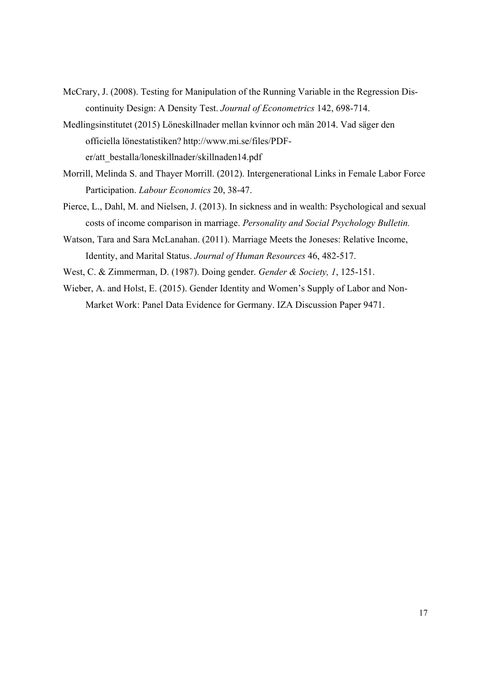- McCrary, J. (2008). Testing for Manipulation of the Running Variable in the Regression Discontinuity Design: A Density Test. *Journal of Econometrics* 142, 698-714.
- Medlingsinstitutet (2015) Löneskillnader mellan kvinnor och män 2014. Vad säger den officiella lönestatistiken? http://www.mi.se/files/PDFer/att\_bestalla/loneskillnader/skillnaden14.pdf
- Morrill, Melinda S. and Thayer Morrill. (2012). Intergenerational Links in Female Labor Force Participation. *Labour Economics* 20, 38-47.
- Pierce, L., Dahl, M. and Nielsen, J. (2013). In sickness and in wealth: Psychological and sexual costs of income comparison in marriage. *Personality and Social Psychology Bulletin.*
- Watson, Tara and Sara McLanahan. (2011). Marriage Meets the Joneses: Relative Income, Identity, and Marital Status. *Journal of Human Resources* 46, 482-517.
- West, C. & Zimmerman, D. (1987). Doing gender. *Gender & Society, 1*, 125-151.
- Wieber, A. and Holst, E. (2015). Gender Identity and Women's Supply of Labor and Non-Market Work: Panel Data Evidence for Germany. IZA Discussion Paper 9471.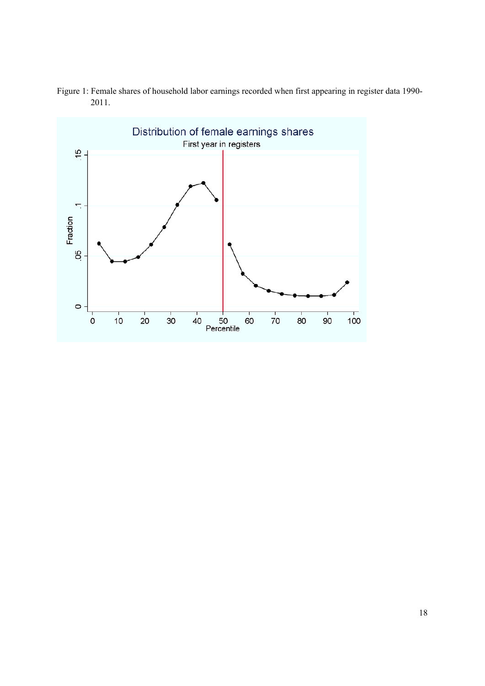

Figure 1: Female shares of household labor earnings recorded when first appearing in register data 1990- 2011.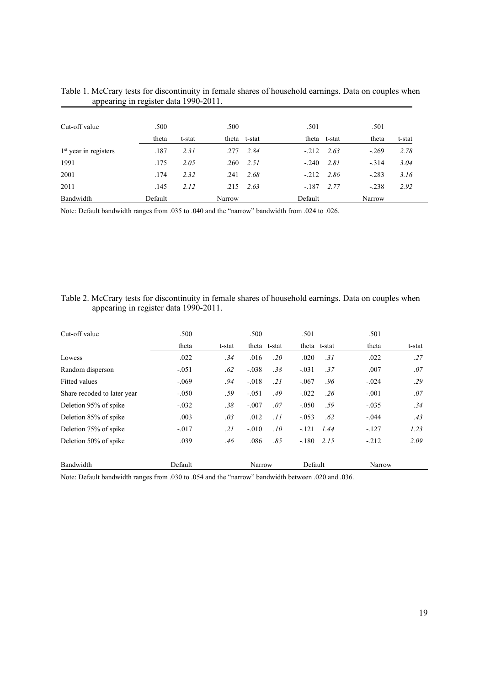| Cut-off value           | .500    |        | .500   |              | .501    |              | .501    |        |
|-------------------------|---------|--------|--------|--------------|---------|--------------|---------|--------|
|                         | theta   | t-stat |        | theta t-stat |         | theta t-stat | theta   | t-stat |
| $1st$ year in registers | .187    | 2.31   | .277   | 2.84         | $-212$  | 2.63         | $-.269$ | 2.78   |
| 1991                    | .175    | 2.05   | .260   | 2.51         | $-.240$ | 2.81         | $-314$  | 3.04   |
| 2001                    | .174    | 2.32   | .241   | 2.68         | $-212$  | 2.86         | $-.283$ | 3.16   |
| 2011                    | .145    | 2.12   | .215   | 2.63         | $-.187$ | 2.77         | $-.238$ | 2.92   |
| Bandwidth               | Default |        | Narrow |              | Default |              | Narrow  |        |

| Table 1. McCrary tests for discontinuity in female shares of household earnings. Data on couples when |  |  |  |
|-------------------------------------------------------------------------------------------------------|--|--|--|
| appearing in register data 1990-2011.                                                                 |  |  |  |

Note: Default bandwidth ranges from .035 to .040 and the "narrow" bandwidth from .024 to .026.

| Table 2. McCrary tests for discontinuity in female shares of household earnings. Data on couples when |  |  |  |
|-------------------------------------------------------------------------------------------------------|--|--|--|
| appearing in register data 1990-2011.                                                                 |  |  |  |

| Bandwidth                   | Default  |        | Narrow  |              | Default |        | Narrow  |        |
|-----------------------------|----------|--------|---------|--------------|---------|--------|---------|--------|
| Deletion 50% of spike       | .039     | .46    | .086    | .85          | $-.180$ | 2.15   | $-212$  | 2.09   |
| Deletion 75% of spike       | $-0.017$ | .21    | $-.010$ | .10          | $-.121$ | 1.44   | $-.127$ | 1.23   |
| Deletion 85% of spike       | .003     | .03    | .012    | .11          | $-.053$ | .62    | $-.044$ | .43    |
| Deletion 95% of spike       | $-.032$  | .38    | $-.007$ | .07          | $-.050$ | .59    | $-.035$ | .34    |
| Share recoded to later year | $-.050$  | .59    | $-.051$ | .49          | $-.022$ | .26    | $-.001$ | .07    |
| <b>Fitted values</b>        | $-.069$  | .94    | $-.018$ | .21          | $-.067$ | .96    | $-.024$ | .29    |
| Random disperson            | $-.051$  | .62    | $-.038$ | .38          | $-.031$ | .37    | .007    | .07    |
| Lowess                      | .022     | .34    | .016    | .20          | .020    | .31    | .022    | .27    |
|                             | theta    | t-stat |         | theta t-stat | theta   | t-stat | theta   | t-stat |
| Cut-off value               | .500     |        | .500    |              | .501    |        | .501    |        |

Note: Default bandwidth ranges from .030 to .054 and the "narrow" bandwidth between .020 and .036.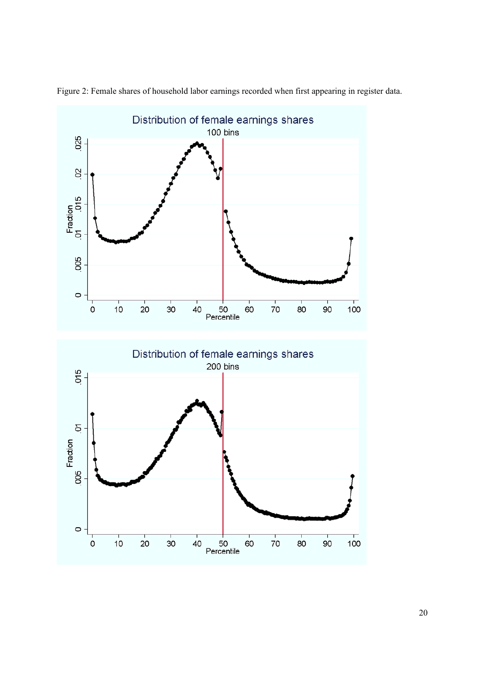

Figure 2: Female shares of household labor earnings recorded when first appearing in register data.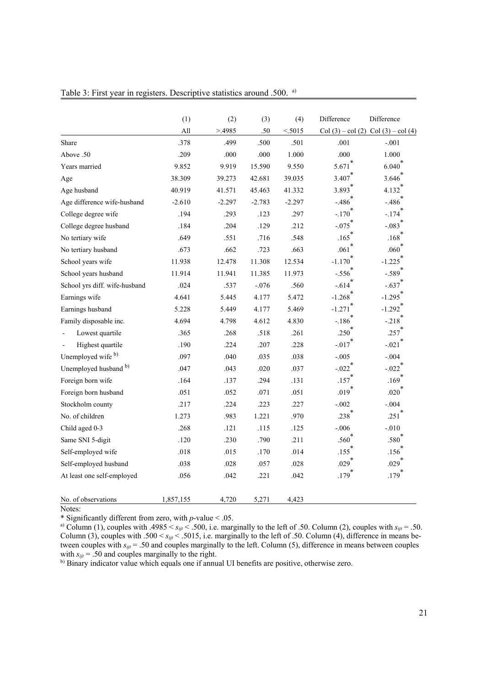|                               | (1)       | (2)      | (3)      | (4)      | Difference          | Difference                          |
|-------------------------------|-----------|----------|----------|----------|---------------------|-------------------------------------|
|                               | All       | >4985    | .50      | < 5015   |                     | Col (3) – col (2) Col (3) – col (4) |
| Share                         | .378      | .499     | .500     | .501     | .001                | $-.001$                             |
| Above .50                     | .209      | .000     | .000     | 1.000    | .000                | 1.000                               |
| Years married                 | 9.852     | 9.919    | 15.590   | 9.550    | 5.671               | 6.040                               |
| Age                           | 38.309    | 39.273   | 42.681   | 39.035   | 3.407               | 3.646                               |
| Age husband                   | 40.919    | 41.571   | 45.463   | 41.332   | 3.893               | 4.132                               |
| Age difference wife-husband   | $-2.610$  | $-2.297$ | $-2.783$ | $-2.297$ | $-.486$             | $-.486$                             |
| College degree wife           | .194      | .293     | .123     | .297     | $-.170$             | $-.174$                             |
| College degree husband        | .184      | .204     | .129     | .212     | $-.075$             | $-.083$                             |
| No tertiary wife              | .649      | .551     | .716     | .548     | .165                | .168                                |
| No tertiary husband           | .673      | .662     | .723     | .663     | .061                | .060                                |
| School years wife             | 11.938    | 12.478   | 11.308   | 12.534   | $-1.170$            | $-1.225$                            |
| School years husband          | 11.914    | 11.941   | 11.385   | 11.973   | $-.556$             | $-.589$                             |
| School yrs diff. wife-husband | .024      | .537     | $-.076$  | .560     | $-.614$             | $-.637$                             |
| Earnings wife                 | 4.641     | 5.445    | 4.177    | 5.472    | $-1.268$            | $-1.295$                            |
| Earnings husband              | 5.228     | 5.449    | 4.177    | 5.469    | $-1.271$            | $-1.292$                            |
| Family disposable inc.        | 4.694     | 4.798    | 4.612    | 4.830    | $-.186$             | $-.218$                             |
| Lowest quartile               | .365      | .268     | .518     | .261     | .250                | .257                                |
| Highest quartile              | .190      | .224     | .207     | .228     | $-0.017$            | $-.021$                             |
| Unemployed wife b)            | .097      | .040     | .035     | .038     | $-.005$             | $-.004$                             |
| Unemployed husband b)         | .047      | .043     | .020     | .037     | $-.022$             | $-.022$                             |
| Foreign born wife             | .164      | .137     | .294     | .131     | .157                | $.169$ <sup>*</sup>                 |
| Foreign born husband          | .051      | .052     | .071     | .051     | $.019*$             | $.020$ <sup>"</sup>                 |
| Stockholm county              | .217      | .224     | .223     | .227     | $-.002$             | $-.004$                             |
| No. of children               | 1.273     | .983     | 1.221    | .970     | $.238^{*}$          | .251                                |
| Child aged 0-3                | .268      | .121     | .115     | .125     | $-0.006$            | $-0.010$                            |
| Same SNI 5-digit              | .120      | .230     | .790     | .211     | .560                | .580                                |
| Self-employed wife            | .018      | .015     | .170     | .014     | .155                | .156                                |
| Self-employed husband         | .038      | .028     | .057     | .028     | $.029$ <sup>*</sup> | $.029$ <sup>*</sup>                 |
| At least one self-employed    | .056      | .042     | .221     | .042     | $.179$ <sup>*</sup> | .179                                |
| No. of observations           | 1,857,155 | 4,720    | 5,271    | 4,423    |                     |                                     |

Table 3: First year in registers. Descriptive statistics around .500. a)

Notes:

\* Significantly different from zero, with *p*-value < .05.

<sup>a)</sup> Column (1), couples with .4985  $\lt s_{ijt} \lt .500$ , i.e. marginally to the left of .50. Column (2), couples with  $s_{ijt} = .50$ . Column (3), couples with .500  $\lt s_{ijt} \lt .5015$ , i.e. marginally to the left of .50. Column (4), difference in means between couples with *sijt* = .50 and couples marginally to the left. Column (5), difference in means between couples with  $s_{ijt}$  = .50 and couples marginally to the right.

b) Binary indicator value which equals one if annual UI benefits are positive, otherwise zero.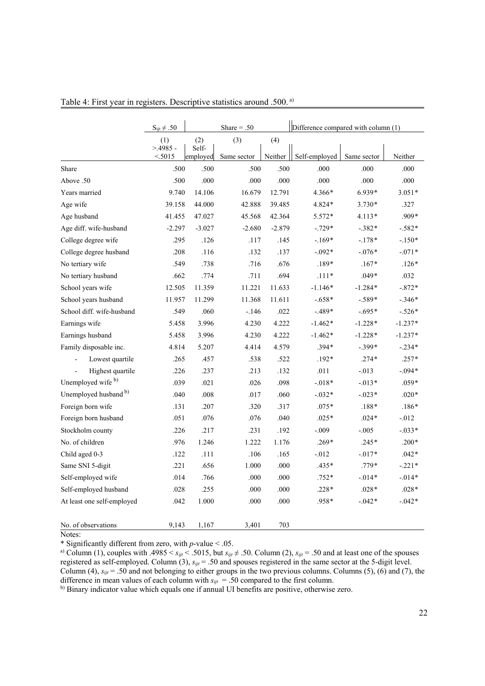|                            | $S_{ijt} \neq .50$  |                   | Share $= .50$ |          | Difference compared with column (1) |             |           |
|----------------------------|---------------------|-------------------|---------------|----------|-------------------------------------|-------------|-----------|
|                            | (1)                 | (2)               | (3)           | (4)      |                                     |             |           |
|                            | $>4985$ -<br>< 5015 | Self-<br>employed | Same sector   | Neither  | Self-employed                       | Same sector | Neither   |
| Share                      | .500                | .500              | .500          | .500     | .000                                | .000        | .000      |
| Above .50                  | .500                | .000              | .000          | .000     | .000                                | .000        | .000      |
| Years married              | 9.740               | 14.106            | 16.679        | 12.791   | 4.366*                              | 6.939*      | $3.051*$  |
| Age wife                   | 39.158              | 44.000            | 42.888        | 39.485   | 4.824*                              | $3.730*$    | .327      |
| Age husband                | 41.455              | 47.027            | 45.568        | 42.364   | 5.572*                              | 4.113*      | $.909*$   |
| Age diff. wife-husband     | $-2.297$            | $-3.027$          | $-2.680$      | $-2.879$ | $-.729*$                            | $-.382*$    | $-.582*$  |
| College degree wife        | .295                | .126              | .117          | .145     | $-169*$                             | $-.178*$    | $-.150*$  |
| College degree husband     | .208                | .116              | .132          | .137     | $-.092*$                            | $-.076*$    | $-.071*$  |
| No tertiary wife           | .549                | .738              | .716          | .676     | $.189*$                             | $.167*$     | $.126*$   |
| No tertiary husband        | .662                | .774              | .711          | .694     | $.111*$                             | $.049*$     | .032      |
| School years wife          | 12.505              | 11.359            | 11.221        | 11.633   | $-1.146*$                           | $-1.284*$   | $-.872*$  |
| School years husband       | 11.957              | 11.299            | 11.368        | 11.611   | $-.658*$                            | $-.589*$    | $-.346*$  |
| School diff. wife-husband  | .549                | .060              | $-.146$       | .022     | $-.489*$                            | $-.695*$    | $-.526*$  |
| Earnings wife              | 5.458               | 3.996             | 4.230         | 4.222    | $-1.462*$                           | $-1.228*$   | $-1.237*$ |
| Earnings husband           | 5.458               | 3.996             | 4.230         | 4.222    | $-1.462*$                           | $-1.228*$   | $-1.237*$ |
| Family disposable inc.     | 4.814               | 5.207             | 4.414         | 4.579    | $.394*$                             | $-.399*$    | $-.234*$  |
| Lowest quartile            | .265                | .457              | .538          | .522     | $.192*$                             | $.274*$     | $.257*$   |
| Highest quartile           | .226                | .237              | .213          | .132     | .011                                | $-0.013$    | $-.094*$  |
| Unemployed wife b)         | .039                | .021              | .026          | .098     | $-.018*$                            | $-0.13*$    | $.059*$   |
| Unemployed husband b)      | .040                | .008              | .017          | .060     | $-.032*$                            | $-.023*$    | $.020*$   |
| Foreign born wife          | .131                | .207              | .320          | .317     | $.075*$                             | $.188*$     | $.186*$   |
| Foreign born husband       | .051                | .076              | .076          | .040     | $.025*$                             | $.024*$     | $-0.012$  |
| Stockholm county           | .226                | .217              | .231          | .192     | $-.009$                             | $-.005$     | $-.033*$  |
| No. of children            | .976                | 1.246             | 1.222         | 1.176    | $.269*$                             | $.245*$     | $.200*$   |
| Child aged 0-3             | .122                | .111              | .106          | .165     | $-0.012$                            | $-.017*$    | $.042*$   |
| Same SNI 5-digit           | .221                | .656              | 1.000         | .000     | $.435*$                             | $.779*$     | $-.221*$  |
| Self-employed wife         | .014                | .766              | .000          | .000     | $.752*$                             | $-0.014*$   | $-.014*$  |
| Self-employed husband      | .028                | .255              | .000          | .000     | $.228*$                             | $.028*$     | $.028*$   |
| At least one self-employed | .042                | 1.000             | .000          | .000     | .958*                               | $-0.042*$   | $-.042*$  |
| No. of observations        | 9,143               | 1,167             | 3,401         | 703      |                                     |             |           |

Table 4: First year in registers. Descriptive statistics around .500. a)

Notes:

\* Significantly different from zero, with *p*-value < .05.

a) Column (1), couples with  $.4985 \le s_{ijt} \le .5015$ , but  $s_{ijt} \ne .50$ . Column (2),  $s_{ijt} = .50$  and at least one of the spouses registered as self-employed. Column  $(3)$ ,  $s_{ijt} = .50$  and spouses registered in the same sector at the 5-digit level. Column (4),  $s_{ijt}$  = .50 and not belonging to either groups in the two previous columns. Columns (5), (6) and (7), the difference in mean values of each column with  $s_{ijt} = .50$  compared to the first column.

b) Binary indicator value which equals one if annual UI benefits are positive, otherwise zero.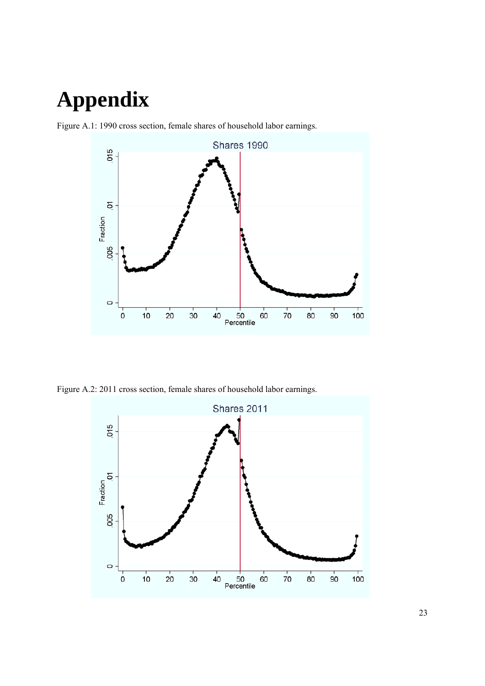# **Appendix**





Figure A.2: 2011 cross section, female shares of household labor earnings.

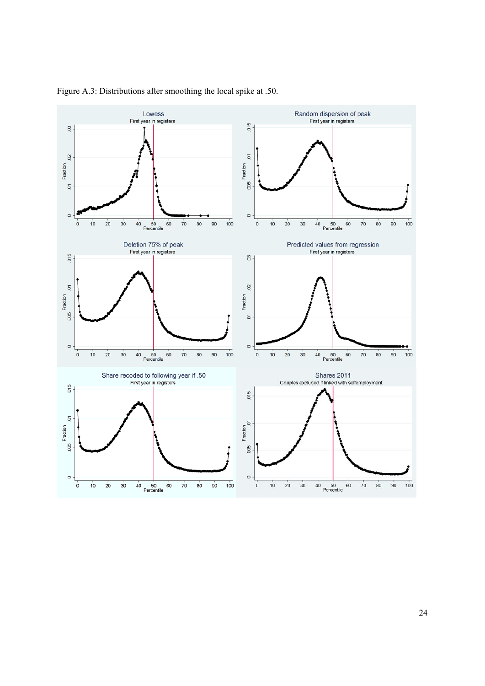

Figure A.3: Distributions after smoothing the local spike at .50.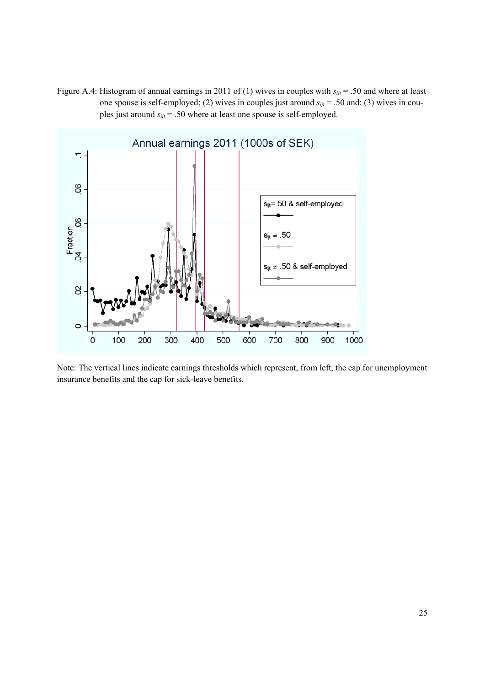Figure A.4: Histogram of annual earnings in 2011 of (1) wives in couples with  $s_{ijt}$  = .50 and where at least one spouse is self-employed; (2) wives in couples just around *sijt* = .50 and: (3) wives in couples just around *sijt* = .50 where at least one spouse is self-employed.



Note: The vertical lines indicate earnings thresholds which represent, from left, the cap for unemployment insurance benefits and the cap for sick-leave benefits.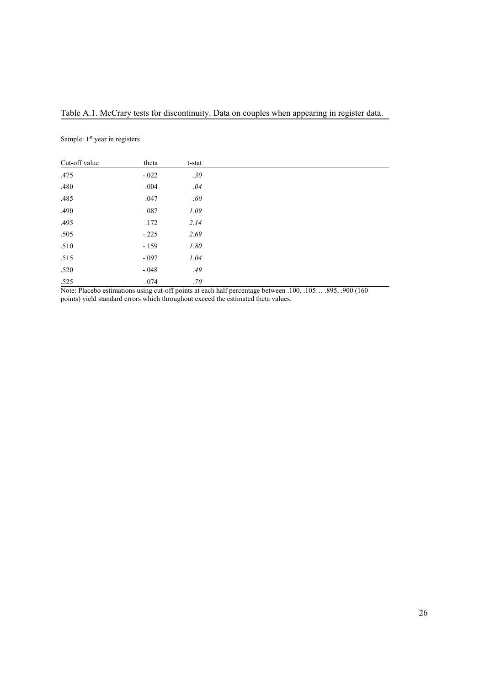#### Table A.1. McCrary tests for discontinuity. Data on couples when appearing in register data.

Sample: 1<sup>st</sup> year in registers

| Cut-off value | theta   | t-stat  |
|---------------|---------|---------|
| .475          | $-.022$ | .30     |
| .480          | .004    | .04     |
| .485          | .047    | $.60\,$ |
| .490          | .087    | 1.09    |
| .495          | .172    | 2.14    |
| .505          | $-.225$ | 2.69    |
| .510          | $-.159$ | 1.80    |
| .515          | $-.097$ | 1.04    |
| .520          | $-.048$ | .49     |
| .525          | .074    | .70     |

Note: Placebo estimations using cut-off points at each half percentage between .100, .105… .895, .900 (160 points) yield standard errors which throughout exceed the estimated theta values.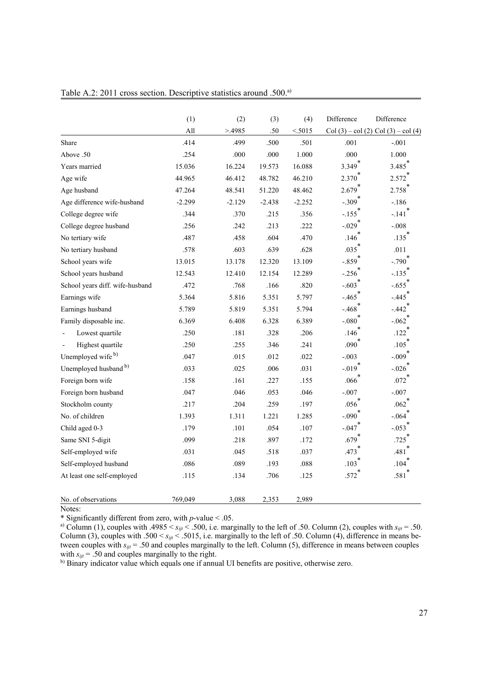|                                 | (1)      | (2)      | (3)      | (4)      | Difference           | Difference                                  |
|---------------------------------|----------|----------|----------|----------|----------------------|---------------------------------------------|
|                                 | All      | >4985    | .50      | < 5015   |                      | Col $(3)$ – col $(2)$ Col $(3)$ – col $(4)$ |
| Share                           | .414     | .499     | .500     | .501     | .001                 | $-.001$                                     |
| Above .50                       | .254     | .000     | .000     | 1.000    | .000                 | 1.000                                       |
| Years married                   | 15.036   | 16.224   | 19.573   | 16.088   | 3.349                | 3.485                                       |
| Age wife                        | 44.965   | 46.412   | 48.782   | 46.210   | 2.370                | 2.572                                       |
| Age husband                     | 47.264   | 48.541   | 51.220   | 48.462   | $2.679$ <sup>*</sup> | 2.758                                       |
| Age difference wife-husband     | $-2.299$ | $-2.129$ | $-2.438$ | $-2.252$ | $-.309$ <sup>1</sup> | $-.186$                                     |
| College degree wife             | .344     | .370     | .215     | .356     | $-.155$              | $-.141$                                     |
| College degree husband          | .256     | .242     | .213     | .222     | $-.029$              | $-.008$                                     |
| No tertiary wife                | .487     | .458     | .604     | .470     | .146                 | .135                                        |
| No tertiary husband             | .578     | .603     | .639     | .628     | .035                 | .011                                        |
| School years wife               | 13.015   | 13.178   | 12.320   | 13.109   | $-.859$ <sup>*</sup> | $-.790$ <sup>*</sup>                        |
| School years husband            | 12.543   | 12.410   | 12.154   | 12.289   | $-.256$              | $-.135$                                     |
| School years diff. wife-husband | .472     | .768     | .166     | .820     | $-.603$              | $-.655$ <sup>1</sup>                        |
| Earnings wife                   | 5.364    | 5.816    | 5.351    | 5.797    | $-.465$              | $-.445$                                     |
| Earnings husband                | 5.789    | 5.819    | 5.351    | 5.794    | $-.468$              | $-.442$                                     |
| Family disposable inc.          | 6.369    | 6.408    | 6.328    | 6.389    | $-.080$              | $-.062$                                     |
| Lowest quartile                 | .250     | .181     | .328     | .206     | .146                 | .122                                        |
| Highest quartile                | .250     | .255     | .346     | .241     | .090                 | .105                                        |
| Unemployed wife <sup>b)</sup>   | .047     | .015     | .012     | .022     | $-.003$              | $-.009$                                     |
| Unemployed husband b)           | .033     | .025     | .006     | .031     | $-.019$ <sup>*</sup> | $-.026$ <sup>*</sup>                        |
| Foreign born wife               | .158     | .161     | .227     | .155     | .066                 | $.072$ <sup>*</sup>                         |
| Foreign born husband            | .047     | .046     | .053     | .046     | $-.007$              | $-.007$                                     |
| Stockholm county                | .217     | .204     | .259     | .197     | .056                 | $.062$ <sup>*</sup>                         |
| No. of children                 | 1.393    | 1.311    | 1.221    | 1.285    | $-.090$              | $-.064$                                     |
| Child aged 0-3                  | .179     | .101     | .054     | .107     | $-.047$              | $-.053$                                     |
| Same SNI 5-digit                | .099     | .218     | .897     | .172     | .679                 | .725                                        |
| Self-employed wife              | .031     | .045     | .518     | .037     | .473                 | .481                                        |
| Self-employed husband           | .086     | .089     | .193     | .088     | .103                 | .104                                        |
| At least one self-employed      | .115     | .134     | .706     | .125     | .572                 | .581                                        |
| No. of observations             | 769.049  | 3,088    | 2,353    | 2,989    |                      |                                             |

Table A.2: 2011 cross section. Descriptive statistics around .500.<sup>a)</sup>

Notes:

\* Significantly different from zero, with *p*-value < .05.

<sup>a)</sup> Column (1), couples with .4985  $\lt s_{ijt} \lt .500$ , i.e. marginally to the left of .50. Column (2), couples with  $s_{ijt} = .50$ . Column (3), couples with .500  $\lt s_{ijt} \lt .5015$ , i.e. marginally to the left of .50. Column (4), difference in means between couples with *sijt* = .50 and couples marginally to the left. Column (5), difference in means between couples with  $s_{ijt}$  = .50 and couples marginally to the right.

b) Binary indicator value which equals one if annual UI benefits are positive, otherwise zero.